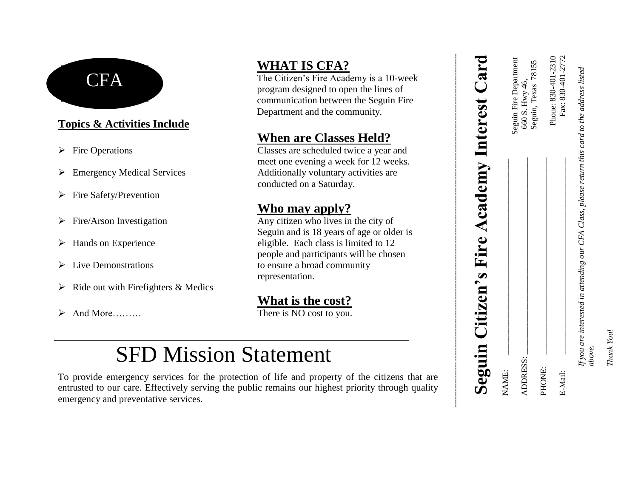#### **Topics & Activities Include**

- 
- 
- $\triangleright$  Fire Safety/Prevention
- 
- 
- 
- $\triangleright$  Ride out with Firefighters & Medics
- 

## **WHAT IS CFA?**

The Citizen's Fire Academy is a 10-week program designed to open the lines of communication between the Seguin Fire Department and the community.

#### **When are Classes Held?**

 Fire Operations Classes are scheduled twice a year and meet one evening a week for 12 weeks. Emergency Medical Services Additionally voluntary activities are conducted on a Saturday.

#### **Who may apply?**

 $\triangleright$  Fire/Arson Investigation Any citizen who lives in the city of Seguin and is 18 years of age or older is > Hands on Experience eligible. Each class is limited to 12 people and participants will be chosen  $\triangleright$  Live Demonstrations to ensure a broad community representation.

### **What is the cost?**

And More………

# SFD Mission Statement

To provide emergency services for the protection of life and property of the citizens that are entrusted to our care. Effectively serving the public remains our highest priority through quality emergency and preventative services. CFA<br>
The Citizen's Fire Academy is a 10-week<br>
represent discussed to open the lines of<br>
communication between the Seguin Fire<br>
Coperations<br>
Coperations<br>
Coperations<br>
Coperations<br>
Coperations<br>
Coperations<br>
Coperations<br>
Micr

| Seguin Citizen's Fire Academy Interest Card                                                               |                                          |
|-----------------------------------------------------------------------------------------------------------|------------------------------------------|
| NAME:                                                                                                     |                                          |
| ADDRESS:                                                                                                  | Seguin Fire Department<br>660 S. Hwy 46, |
|                                                                                                           | Seguin, Texas 78155                      |
| PHONE:                                                                                                    | Phone: 830-401-2310                      |
| E-Mail:                                                                                                   | Fax: 830-401-2772                        |
| If you are interested in attending our CFA Class, please return this card to the address listed<br>above. |                                          |

Seguin Citizen's Fire Academy Interest Card

*Thank You!*

Thank You!